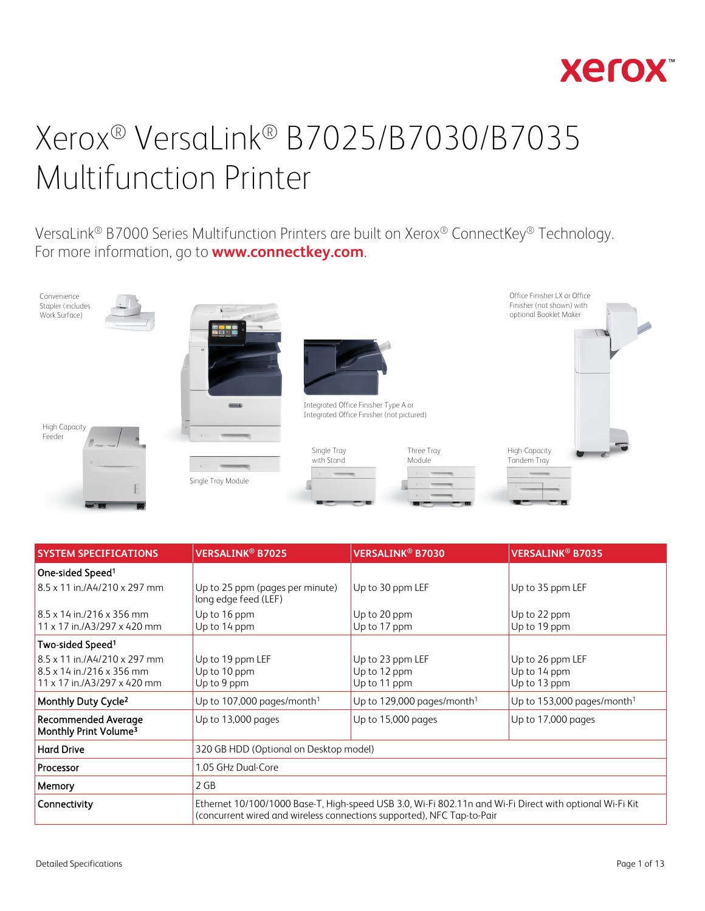

VersaLink® B7000 Series Multifunction Printers are built on Xerox® ConnectKey® Technology. For more information, go to **[www.connectkey.com](http://www.connectkey.com/)**.



| <b>SYSTEM SPECIFICATIONS</b>                                                                           | <b>VERSALINK<sup>®</sup> B7030</b><br><b>VERSALINK<sup>®</sup> B7025</b>                                                                                                          |                                                  | <b>VERSALINK<sup>®</sup> B7035</b>               |
|--------------------------------------------------------------------------------------------------------|-----------------------------------------------------------------------------------------------------------------------------------------------------------------------------------|--------------------------------------------------|--------------------------------------------------|
| One-sided Speed <sup>1</sup>                                                                           |                                                                                                                                                                                   |                                                  |                                                  |
| 8.5 x 11 in / A4/210 x 297 mm                                                                          | Up to 30 ppm LEF<br>Up to 25 ppm (pages per minute)<br>long edge feed (LEF)                                                                                                       |                                                  | Up to 35 ppm LEF                                 |
| $8.5 \times 14$ in./216 x 356 mm<br>11 x 17 in./A3/297 x 420 mm                                        | Up to 16 ppm<br>Up to 20 ppm<br>Up to 14 ppm<br>Up to 17 ppm                                                                                                                      |                                                  | Up to 22 ppm<br>Up to 19 ppm                     |
| Two-sided Speed <sup>1</sup>                                                                           |                                                                                                                                                                                   |                                                  |                                                  |
| 8.5 x 11 in./A4/210 x 297 mm<br>$8.5 \times 14$ in $/216 \times 356$ mm<br>11 x 17 in./A3/297 x 420 mm | Up to 19 ppm LEF<br>Up to 10 ppm<br>Up to 9 ppm                                                                                                                                   | Up to 23 ppm LEF<br>Up to 12 ppm<br>Up to 11 ppm | Up to 26 ppm LEF<br>Up to 14 ppm<br>Up to 13 ppm |
| Monthly Duty Cycle <sup>2</sup>                                                                        | Up to 107,000 pages/month <sup>1</sup>                                                                                                                                            | Up to 129,000 pages/month <sup>1</sup>           | Up to 153,000 pages/month <sup>1</sup>           |
| <b>Recommended Average</b><br>Monthly Print Volume <sup>3</sup>                                        | Up to 13,000 pages                                                                                                                                                                | Up to 15,000 pages                               | Up to 17,000 pages                               |
| <b>Hard Drive</b>                                                                                      | 320 GB HDD (Optional on Desktop model)                                                                                                                                            |                                                  |                                                  |
| Processor                                                                                              | 1.05 GHz Dual-Core                                                                                                                                                                |                                                  |                                                  |
| Memory                                                                                                 | 2 GB                                                                                                                                                                              |                                                  |                                                  |
| Connectivity                                                                                           | Ethernet 10/100/1000 Base-T, High-speed USB 3.0, Wi-Fi 802.11n and Wi-Fi Direct with optional Wi-Fi Kit<br>(concurrent wired and wireless connections supported), NFC Tap-to-Pair |                                                  |                                                  |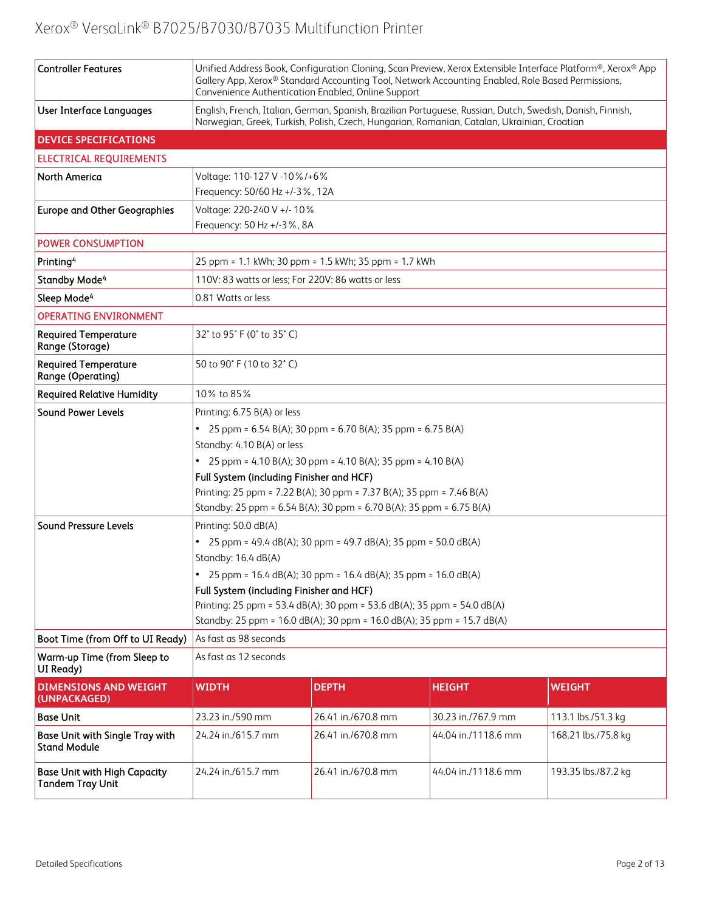| <b>Controller Features</b>                                     | Unified Address Book, Configuration Cloning, Scan Preview, Xerox Extensible Interface Platform®, Xerox® App<br>Gallery App, Xerox® Standard Accounting Tool, Network Accounting Enabled, Role Based Permissions,<br>Convenience Authentication Enabled, Online Support |                                                      |                     |                     |  |  |
|----------------------------------------------------------------|------------------------------------------------------------------------------------------------------------------------------------------------------------------------------------------------------------------------------------------------------------------------|------------------------------------------------------|---------------------|---------------------|--|--|
| <b>User Interface Languages</b>                                | English, French, Italian, German, Spanish, Brazilian Portuguese, Russian, Dutch, Swedish, Danish, Finnish,<br>Norwegian, Greek, Turkish, Polish, Czech, Hungarian, Romanian, Catalan, Ukrainian, Croatian                                                              |                                                      |                     |                     |  |  |
| <b>DEVICE SPECIFICATIONS</b>                                   |                                                                                                                                                                                                                                                                        |                                                      |                     |                     |  |  |
| <b>ELECTRICAL REQUIREMENTS</b>                                 |                                                                                                                                                                                                                                                                        |                                                      |                     |                     |  |  |
| <b>North America</b>                                           | Voltage: 110-127 V -10%/+6%                                                                                                                                                                                                                                            |                                                      |                     |                     |  |  |
|                                                                | Frequency: 50/60 Hz +/-3%, 12A                                                                                                                                                                                                                                         |                                                      |                     |                     |  |  |
| <b>Europe and Other Geographies</b>                            | Voltage: 220-240 V +/- 10%                                                                                                                                                                                                                                             |                                                      |                     |                     |  |  |
|                                                                | Frequency: 50 Hz +/-3%, 8A                                                                                                                                                                                                                                             |                                                      |                     |                     |  |  |
| <b>POWER CONSUMPTION</b>                                       |                                                                                                                                                                                                                                                                        |                                                      |                     |                     |  |  |
| Printing <sup>4</sup>                                          |                                                                                                                                                                                                                                                                        | 25 ppm = 1.1 kWh; 30 ppm = 1.5 kWh; 35 ppm = 1.7 kWh |                     |                     |  |  |
| <b>Standby Mode<sup>4</sup></b>                                | 110V: 83 watts or less; For 220V: 86 watts or less                                                                                                                                                                                                                     |                                                      |                     |                     |  |  |
| Sleep Mode <sup>4</sup>                                        | 0.81 Watts or less                                                                                                                                                                                                                                                     |                                                      |                     |                     |  |  |
| <b>OPERATING ENVIRONMENT</b>                                   |                                                                                                                                                                                                                                                                        |                                                      |                     |                     |  |  |
| <b>Required Temperature</b><br>Range (Storage)                 | 32° to 95° F (0° to 35° C)                                                                                                                                                                                                                                             |                                                      |                     |                     |  |  |
| <b>Required Temperature</b><br>Range (Operating)               | 50 to 90° F (10 to 32° C)                                                                                                                                                                                                                                              |                                                      |                     |                     |  |  |
| <b>Required Relative Humidity</b>                              | 10% to 85%                                                                                                                                                                                                                                                             |                                                      |                     |                     |  |  |
| <b>Sound Power Levels</b>                                      | Printing: 6.75 B(A) or less                                                                                                                                                                                                                                            |                                                      |                     |                     |  |  |
|                                                                | • 25 ppm = $6.54 B(A)$ ; 30 ppm = $6.70 B(A)$ ; 35 ppm = $6.75 B(A)$                                                                                                                                                                                                   |                                                      |                     |                     |  |  |
|                                                                | Standby: 4.10 B(A) or less                                                                                                                                                                                                                                             |                                                      |                     |                     |  |  |
|                                                                | • 25 ppm = 4.10 B(A); 30 ppm = 4.10 B(A); 35 ppm = 4.10 B(A)                                                                                                                                                                                                           |                                                      |                     |                     |  |  |
|                                                                | Full System (including Finisher and HCF)                                                                                                                                                                                                                               |                                                      |                     |                     |  |  |
|                                                                | Printing: 25 ppm = 7.22 B(A); 30 ppm = 7.37 B(A); 35 ppm = 7.46 B(A)<br>Standby: 25 ppm = 6.54 B(A); 30 ppm = 6.70 B(A); 35 ppm = 6.75 B(A)                                                                                                                            |                                                      |                     |                     |  |  |
| <b>Sound Pressure Levels</b>                                   |                                                                                                                                                                                                                                                                        |                                                      |                     |                     |  |  |
|                                                                | Printing: 50.0 dB(A)                                                                                                                                                                                                                                                   |                                                      |                     |                     |  |  |
|                                                                | • 25 ppm = 49.4 dB(A); 30 ppm = 49.7 dB(A); 35 ppm = 50.0 dB(A)<br>Standby: 16.4 dB(A)                                                                                                                                                                                 |                                                      |                     |                     |  |  |
|                                                                | 25 ppm = 16.4 dB(A); 30 ppm = 16.4 dB(A); 35 ppm = 16.0 dB(A)                                                                                                                                                                                                          |                                                      |                     |                     |  |  |
|                                                                | Full System (including Finisher and HCF)                                                                                                                                                                                                                               |                                                      |                     |                     |  |  |
|                                                                | Printing: 25 ppm = 53.4 dB(A); 30 ppm = 53.6 dB(A); 35 ppm = 54.0 dB(A)<br>Standby: 25 ppm = 16.0 dB(A); 30 ppm = 16.0 dB(A); 35 ppm = 15.7 dB(A)                                                                                                                      |                                                      |                     |                     |  |  |
| Boot Time (from Off to UI Ready)                               | As fast as 98 seconds                                                                                                                                                                                                                                                  |                                                      |                     |                     |  |  |
| Warm-up Time (from Sleep to<br>UI Ready)                       | As fast as 12 seconds                                                                                                                                                                                                                                                  |                                                      |                     |                     |  |  |
| <b>DIMENSIONS AND WEIGHT</b><br>(UNPACKAGED)                   | <b>WIDTH</b>                                                                                                                                                                                                                                                           | <b>DEPTH</b>                                         | <b>HEIGHT</b>       | <b>WEIGHT</b>       |  |  |
| <b>Base Unit</b>                                               | 23.23 in./590 mm                                                                                                                                                                                                                                                       | 26.41 in./670.8 mm                                   | 30.23 in./767.9 mm  | 113.1 lbs./51.3 kg  |  |  |
| Base Unit with Single Tray with<br><b>Stand Module</b>         | 24.24 in./615.7 mm                                                                                                                                                                                                                                                     | 26.41 in./670.8 mm                                   | 44.04 in./1118.6 mm | 168.21 lbs./75.8 kg |  |  |
| <b>Base Unit with High Capacity</b><br><b>Tandem Tray Unit</b> | 24.24 in./615.7 mm                                                                                                                                                                                                                                                     | 26.41 in./670.8 mm                                   | 44.04 in./1118.6 mm | 193.35 lbs./87.2 kg |  |  |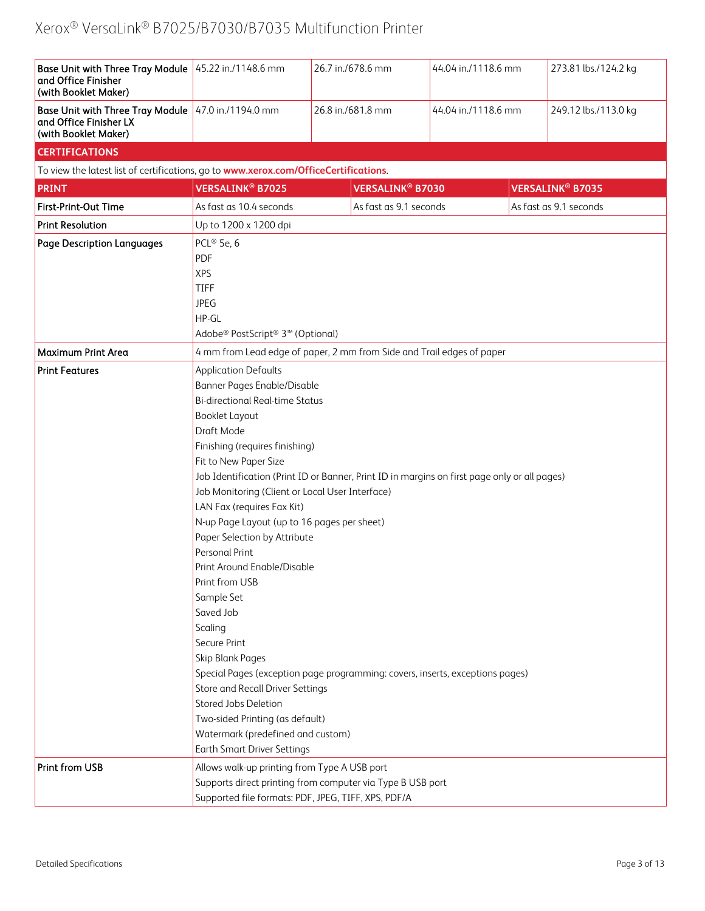| Base Unit with Three Tray Module 45.22 in./1148.6 mm<br>and Office Finisher<br>(with Booklet Maker)   |                                                                                                                                                                                                                                                                                                                                                                                                                                                                                                                                                                                                                                                                                                                                                                                                                                                                                | 26.7 in./678.6 mm                  | 44.04 in./1118.6 mm | 273.81 lbs./124.2 kg               |  |
|-------------------------------------------------------------------------------------------------------|--------------------------------------------------------------------------------------------------------------------------------------------------------------------------------------------------------------------------------------------------------------------------------------------------------------------------------------------------------------------------------------------------------------------------------------------------------------------------------------------------------------------------------------------------------------------------------------------------------------------------------------------------------------------------------------------------------------------------------------------------------------------------------------------------------------------------------------------------------------------------------|------------------------------------|---------------------|------------------------------------|--|
| Base Unit with Three Tray Module 47.0 in./1194.0 mm<br>and Office Finisher LX<br>(with Booklet Maker) |                                                                                                                                                                                                                                                                                                                                                                                                                                                                                                                                                                                                                                                                                                                                                                                                                                                                                | 26.8 in./681.8 mm                  | 44.04 in./1118.6 mm | 249.12 lbs./113.0 kg               |  |
| <b>CERTIFICATIONS</b>                                                                                 |                                                                                                                                                                                                                                                                                                                                                                                                                                                                                                                                                                                                                                                                                                                                                                                                                                                                                |                                    |                     |                                    |  |
| To view the latest list of certifications, go to www.xerox.com/OfficeCertifications.                  |                                                                                                                                                                                                                                                                                                                                                                                                                                                                                                                                                                                                                                                                                                                                                                                                                                                                                |                                    |                     |                                    |  |
| <b>PRINT</b>                                                                                          | <b>VERSALINK<sup>®</sup> B7025</b>                                                                                                                                                                                                                                                                                                                                                                                                                                                                                                                                                                                                                                                                                                                                                                                                                                             | <b>VERSALINK<sup>®</sup> B7030</b> |                     | <b>VERSALINK<sup>®</sup> B7035</b> |  |
| First-Print-Out Time                                                                                  | As fast as 10.4 seconds                                                                                                                                                                                                                                                                                                                                                                                                                                                                                                                                                                                                                                                                                                                                                                                                                                                        | As fast as 9.1 seconds             |                     | As fast as 9.1 seconds             |  |
| <b>Print Resolution</b>                                                                               | Up to 1200 x 1200 dpi                                                                                                                                                                                                                                                                                                                                                                                                                                                                                                                                                                                                                                                                                                                                                                                                                                                          |                                    |                     |                                    |  |
| <b>Page Description Languages</b>                                                                     | PCL® 5e, 6<br>PDF<br><b>XPS</b><br><b>TIFF</b><br><b>JPEG</b><br>HP-GL<br>Adobe <sup>®</sup> PostScript <sup>®</sup> 3 <sup>™</sup> (Optional)                                                                                                                                                                                                                                                                                                                                                                                                                                                                                                                                                                                                                                                                                                                                 |                                    |                     |                                    |  |
| Maximum Print Area                                                                                    | 4 mm from Lead edge of paper, 2 mm from Side and Trail edges of paper                                                                                                                                                                                                                                                                                                                                                                                                                                                                                                                                                                                                                                                                                                                                                                                                          |                                    |                     |                                    |  |
| <b>Print Features</b>                                                                                 | <b>Application Defaults</b><br>Banner Pages Enable/Disable<br><b>Bi-directional Real-time Status</b><br><b>Booklet Layout</b><br>Draft Mode<br>Finishing (requires finishing)<br>Fit to New Paper Size<br>Job Identification (Print ID or Banner, Print ID in margins on first page only or all pages)<br>Job Monitoring (Client or Local User Interface)<br>LAN Fax (requires Fax Kit)<br>N-up Page Layout (up to 16 pages per sheet)<br>Paper Selection by Attribute<br>Personal Print<br>Print Around Enable/Disable<br>Print from USB<br>Sample Set<br>Saved Job<br>Scaling<br>Secure Print<br>Skip Blank Pages<br>Special Pages (exception page programming: covers, inserts, exceptions pages)<br>Store and Recall Driver Settings<br>Stored Jobs Deletion<br>Two-sided Printing (as default)<br>Watermark (predefined and custom)<br><b>Earth Smart Driver Settings</b> |                                    |                     |                                    |  |
| <b>Print from USB</b>                                                                                 | Allows walk-up printing from Type A USB port<br>Supports direct printing from computer via Type B USB port<br>Supported file formats: PDF, JPEG, TIFF, XPS, PDF/A                                                                                                                                                                                                                                                                                                                                                                                                                                                                                                                                                                                                                                                                                                              |                                    |                     |                                    |  |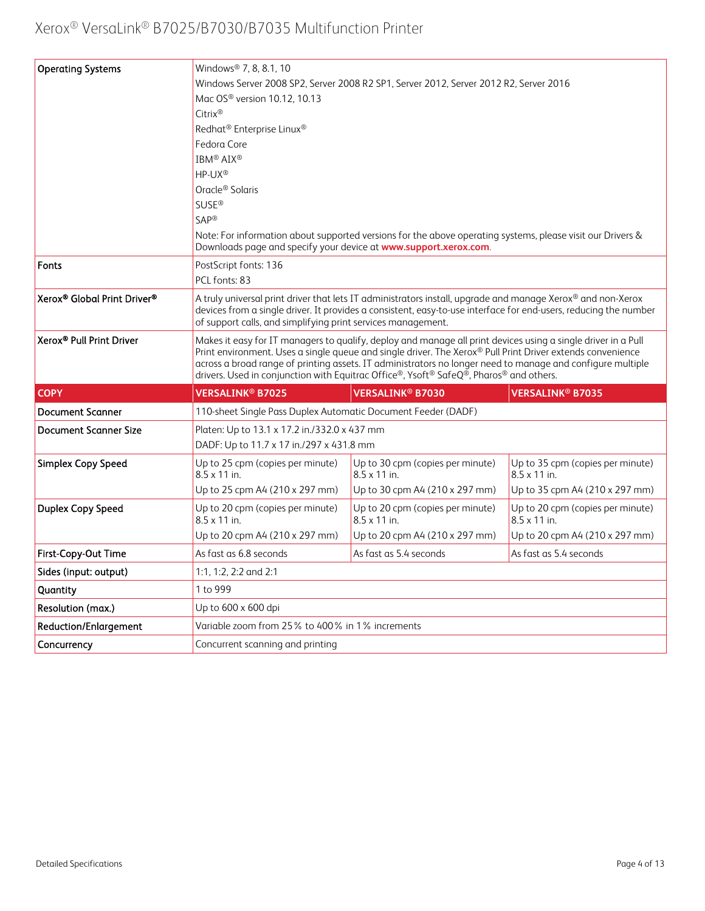| <b>Operating Systems</b>             | Windows <sup>®</sup> 7, 8, 8.1, 10                                                                                                                                                                                                                                                                                                                                                                                                  |                                                                                                                                                                                                                                                                                                 |                                                         |  |
|--------------------------------------|-------------------------------------------------------------------------------------------------------------------------------------------------------------------------------------------------------------------------------------------------------------------------------------------------------------------------------------------------------------------------------------------------------------------------------------|-------------------------------------------------------------------------------------------------------------------------------------------------------------------------------------------------------------------------------------------------------------------------------------------------|---------------------------------------------------------|--|
|                                      |                                                                                                                                                                                                                                                                                                                                                                                                                                     | Windows Server 2008 SP2, Server 2008 R2 SP1, Server 2012, Server 2012 R2, Server 2016                                                                                                                                                                                                           |                                                         |  |
|                                      | Mac OS <sup>®</sup> version 10.12, 10.13                                                                                                                                                                                                                                                                                                                                                                                            |                                                                                                                                                                                                                                                                                                 |                                                         |  |
|                                      | Citrix®                                                                                                                                                                                                                                                                                                                                                                                                                             |                                                                                                                                                                                                                                                                                                 |                                                         |  |
|                                      | Redhat <sup>®</sup> Enterprise Linux <sup>®</sup>                                                                                                                                                                                                                                                                                                                                                                                   |                                                                                                                                                                                                                                                                                                 |                                                         |  |
|                                      | Fedora Core                                                                                                                                                                                                                                                                                                                                                                                                                         |                                                                                                                                                                                                                                                                                                 |                                                         |  |
|                                      | <b>IBM® AIX®</b>                                                                                                                                                                                                                                                                                                                                                                                                                    |                                                                                                                                                                                                                                                                                                 |                                                         |  |
|                                      | HP-UX®                                                                                                                                                                                                                                                                                                                                                                                                                              |                                                                                                                                                                                                                                                                                                 |                                                         |  |
|                                      | Oracle <sup>®</sup> Solaris                                                                                                                                                                                                                                                                                                                                                                                                         |                                                                                                                                                                                                                                                                                                 |                                                         |  |
|                                      | <b>SUSE®</b>                                                                                                                                                                                                                                                                                                                                                                                                                        |                                                                                                                                                                                                                                                                                                 |                                                         |  |
|                                      | SAP®                                                                                                                                                                                                                                                                                                                                                                                                                                |                                                                                                                                                                                                                                                                                                 |                                                         |  |
|                                      | Downloads page and specify your device at www.support.xerox.com.                                                                                                                                                                                                                                                                                                                                                                    | Note: For information about supported versions for the above operating systems, please visit our Drivers &                                                                                                                                                                                      |                                                         |  |
| <b>Fonts</b>                         | PostScript fonts: 136                                                                                                                                                                                                                                                                                                                                                                                                               |                                                                                                                                                                                                                                                                                                 |                                                         |  |
|                                      | PCL fonts: 83                                                                                                                                                                                                                                                                                                                                                                                                                       |                                                                                                                                                                                                                                                                                                 |                                                         |  |
| Xerox® Global Print Driver®          |                                                                                                                                                                                                                                                                                                                                                                                                                                     | A truly universal print driver that lets IT administrators install, upgrade and manage Xerox® and non-Xerox<br>devices from a single driver. It provides a consistent, easy-to-use interface for end-users, reducing the number<br>of support calls, and simplifying print services management. |                                                         |  |
| Xerox <sup>®</sup> Pull Print Driver | Makes it easy for IT managers to qualify, deploy and manage all print devices using a single driver in a Pull<br>Print environment. Uses a single queue and single driver. The Xerox® Pull Print Driver extends convenience<br>across a broad range of printing assets. IT administrators no longer need to manage and configure multiple<br>drivers. Used in conjunction with Equitrac Office®, Ysoft® SafeQ®, Pharos® and others. |                                                                                                                                                                                                                                                                                                 |                                                         |  |
| <b>COPY</b>                          | <b>VERSALINK<sup>®</sup> B7025</b>                                                                                                                                                                                                                                                                                                                                                                                                  | <b>VERSALINK<sup>®</sup> B7030</b>                                                                                                                                                                                                                                                              | <b>VERSALINK<sup>®</sup> B7035</b>                      |  |
| <b>Document Scanner</b>              | 110-sheet Single Pass Duplex Automatic Document Feeder (DADF)                                                                                                                                                                                                                                                                                                                                                                       |                                                                                                                                                                                                                                                                                                 |                                                         |  |
| <b>Document Scanner Size</b>         | Platen: Up to 13.1 x 17.2 in./332.0 x 437 mm                                                                                                                                                                                                                                                                                                                                                                                        |                                                                                                                                                                                                                                                                                                 |                                                         |  |
|                                      | DADF: Up to 11.7 x 17 in./297 x 431.8 mm                                                                                                                                                                                                                                                                                                                                                                                            |                                                                                                                                                                                                                                                                                                 |                                                         |  |
| Simplex Copy Speed                   | Up to 25 cpm (copies per minute)<br>$8.5 \times 11$ in.                                                                                                                                                                                                                                                                                                                                                                             | Up to 30 cpm (copies per minute)<br>$8.5 \times 11$ in.                                                                                                                                                                                                                                         | Up to 35 cpm (copies per minute)<br>$8.5 \times 11$ in. |  |
|                                      | Up to 25 cpm A4 (210 x 297 mm)                                                                                                                                                                                                                                                                                                                                                                                                      | Up to 30 cpm A4 (210 x 297 mm)                                                                                                                                                                                                                                                                  | Up to 35 cpm A4 (210 x 297 mm)                          |  |
| Duplex Copy Speed                    | Up to 20 cpm (copies per minute)<br>$8.5 \times 11$ in.                                                                                                                                                                                                                                                                                                                                                                             | Up to 20 cpm (copies per minute)<br>$8.5 \times 11$ in.                                                                                                                                                                                                                                         | Up to 20 cpm (copies per minute)<br>$8.5 \times 11$ in. |  |
|                                      | Up to 20 cpm A4 (210 x 297 mm)                                                                                                                                                                                                                                                                                                                                                                                                      | Up to 20 cpm A4 (210 x 297 mm)                                                                                                                                                                                                                                                                  | Up to 20 cpm A4 (210 x 297 mm)                          |  |
| First-Copy-Out Time                  | As fast as 6.8 seconds                                                                                                                                                                                                                                                                                                                                                                                                              | As fast as 5.4 seconds                                                                                                                                                                                                                                                                          | As fast as 5.4 seconds                                  |  |
| Sides (input: output)                | 1:1, 1:2, 2:2 and 2:1                                                                                                                                                                                                                                                                                                                                                                                                               |                                                                                                                                                                                                                                                                                                 |                                                         |  |
| Quantity                             | 1 to 999                                                                                                                                                                                                                                                                                                                                                                                                                            |                                                                                                                                                                                                                                                                                                 |                                                         |  |
| Resolution (max.)                    | Up to 600 x 600 dpi                                                                                                                                                                                                                                                                                                                                                                                                                 |                                                                                                                                                                                                                                                                                                 |                                                         |  |
| <b>Reduction/Enlargement</b>         | Variable zoom from 25% to 400% in 1% increments                                                                                                                                                                                                                                                                                                                                                                                     |                                                                                                                                                                                                                                                                                                 |                                                         |  |
| Concurrency                          | Concurrent scanning and printing                                                                                                                                                                                                                                                                                                                                                                                                    |                                                                                                                                                                                                                                                                                                 |                                                         |  |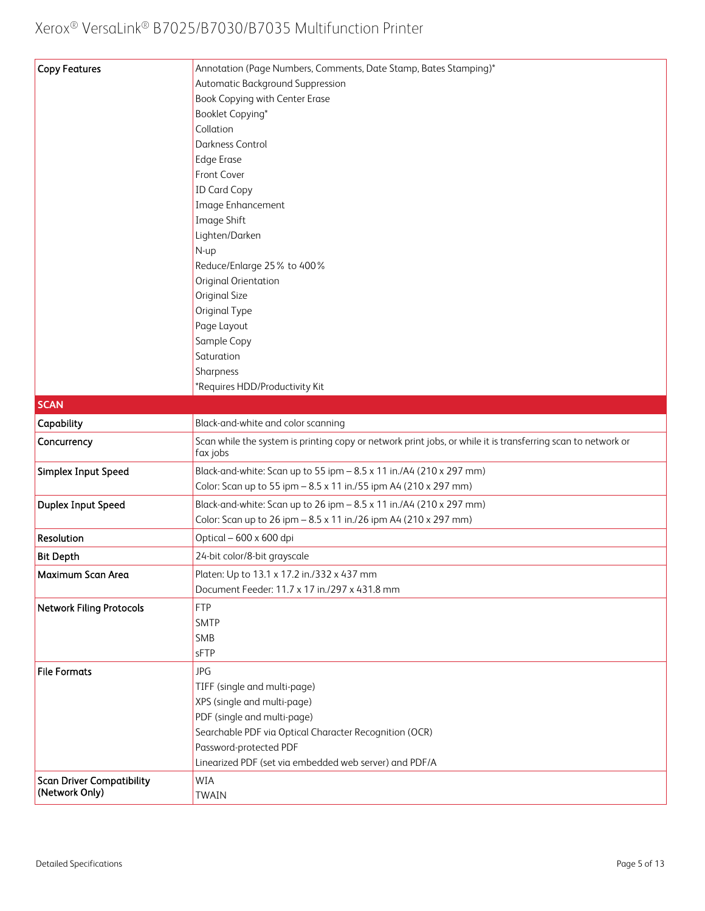| <b>Copy Features</b>                               | Annotation (Page Numbers, Comments, Date Stamp, Bates Stamping)*                                                         |
|----------------------------------------------------|--------------------------------------------------------------------------------------------------------------------------|
|                                                    | Automatic Background Suppression                                                                                         |
|                                                    | Book Copying with Center Erase                                                                                           |
|                                                    | Booklet Copying*                                                                                                         |
|                                                    | Collation                                                                                                                |
|                                                    | Darkness Control                                                                                                         |
|                                                    | <b>Edge Erase</b>                                                                                                        |
|                                                    | Front Cover                                                                                                              |
|                                                    | <b>ID Card Copy</b>                                                                                                      |
|                                                    | Image Enhancement                                                                                                        |
|                                                    | Image Shift                                                                                                              |
|                                                    | Lighten/Darken                                                                                                           |
|                                                    | N-up                                                                                                                     |
|                                                    | Reduce/Enlarge 25% to 400%                                                                                               |
|                                                    | Original Orientation                                                                                                     |
|                                                    | Original Size                                                                                                            |
|                                                    | Original Type                                                                                                            |
|                                                    | Page Layout                                                                                                              |
|                                                    | Sample Copy                                                                                                              |
|                                                    | Saturation                                                                                                               |
|                                                    | Sharpness                                                                                                                |
|                                                    | *Requires HDD/Productivity Kit                                                                                           |
| <b>SCAN</b>                                        |                                                                                                                          |
| Capability                                         | Black-and-white and color scanning                                                                                       |
|                                                    |                                                                                                                          |
| Concurrency                                        | Scan while the system is printing copy or network print jobs, or while it is transferring scan to network or<br>fax jobs |
| Simplex Input Speed                                | Black-and-white: Scan up to 55 ipm - 8.5 x 11 in./A4 (210 x 297 mm)                                                      |
|                                                    | Color: Scan up to 55 ipm - 8.5 x 11 in./55 ipm A4 (210 x 297 mm)                                                         |
| Duplex Input Speed                                 | Black-and-white: Scan up to 26 ipm - 8.5 x 11 in./A4 (210 x 297 mm)                                                      |
|                                                    | Color: Scan up to 26 ipm - 8.5 x 11 in./26 ipm A4 (210 x 297 mm)                                                         |
| Resolution                                         | Optical - 600 x 600 dpi                                                                                                  |
| <b>Bit Depth</b>                                   | 24-bit color/8-bit grayscale                                                                                             |
| Maximum Scan Area                                  | Platen: Up to 13.1 x 17.2 in./332 x 437 mm                                                                               |
|                                                    | Document Feeder: 11.7 x 17 in./297 x 431.8 mm                                                                            |
| <b>Network Filing Protocols</b>                    | <b>FTP</b>                                                                                                               |
|                                                    | <b>SMTP</b>                                                                                                              |
|                                                    | SMB                                                                                                                      |
|                                                    | sFTP                                                                                                                     |
| <b>File Formats</b>                                | <b>JPG</b>                                                                                                               |
|                                                    | TIFF (single and multi-page)                                                                                             |
|                                                    | XPS (single and multi-page)                                                                                              |
|                                                    | PDF (single and multi-page)                                                                                              |
|                                                    | Searchable PDF via Optical Character Recognition (OCR)                                                                   |
|                                                    | Password-protected PDF                                                                                                   |
|                                                    | Linearized PDF (set via embedded web server) and PDF/A                                                                   |
|                                                    |                                                                                                                          |
| <b>Scan Driver Compatibility</b><br>(Network Only) | WIA                                                                                                                      |
|                                                    | <b>TWAIN</b>                                                                                                             |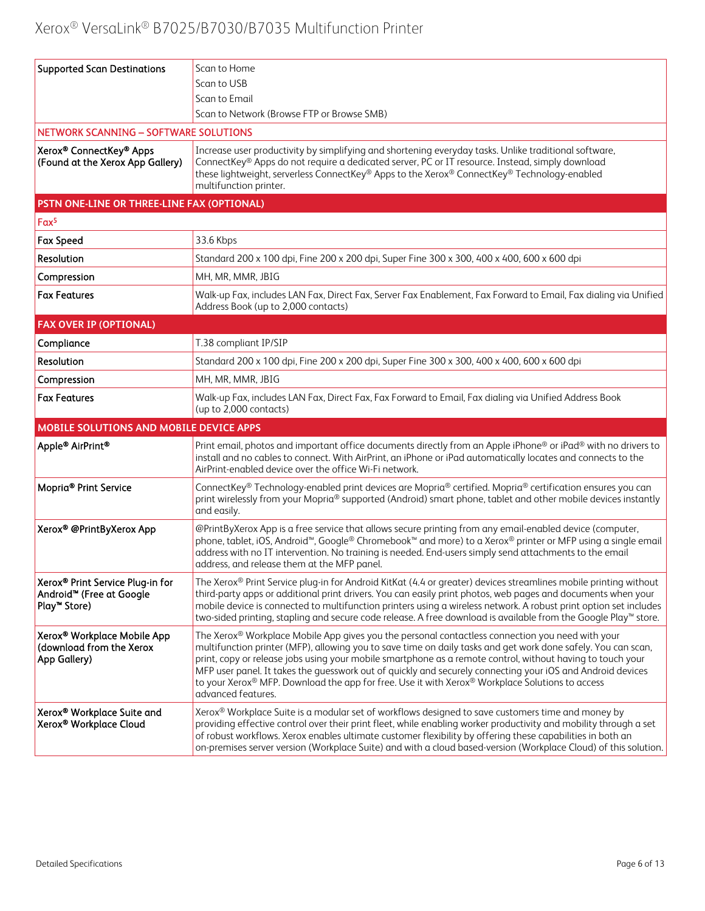| <b>Supported Scan Destinations</b>                                                                   | Scan to Home                                                                                                                                                                                                                                                                                                                                                                                                                                                                                                                                                           |
|------------------------------------------------------------------------------------------------------|------------------------------------------------------------------------------------------------------------------------------------------------------------------------------------------------------------------------------------------------------------------------------------------------------------------------------------------------------------------------------------------------------------------------------------------------------------------------------------------------------------------------------------------------------------------------|
|                                                                                                      | Scan to USB                                                                                                                                                                                                                                                                                                                                                                                                                                                                                                                                                            |
|                                                                                                      | Scan to Email                                                                                                                                                                                                                                                                                                                                                                                                                                                                                                                                                          |
|                                                                                                      | Scan to Network (Browse FTP or Browse SMB)                                                                                                                                                                                                                                                                                                                                                                                                                                                                                                                             |
| NETWORK SCANNING - SOFTWARE SOLUTIONS                                                                |                                                                                                                                                                                                                                                                                                                                                                                                                                                                                                                                                                        |
| Xerox® ConnectKey® Apps<br>(Found at the Xerox App Gallery)                                          | Increase user productivity by simplifying and shortening everyday tasks. Unlike traditional software,<br>ConnectKey® Apps do not require a dedicated server, PC or IT resource. Instead, simply download<br>these lightweight, serverless ConnectKey® Apps to the Xerox® ConnectKey® Technology-enabled<br>multifunction printer.                                                                                                                                                                                                                                      |
| PSTN ONE-LINE OR THREE-LINE FAX (OPTIONAL)                                                           |                                                                                                                                                                                                                                                                                                                                                                                                                                                                                                                                                                        |
| Fax <sup>5</sup>                                                                                     |                                                                                                                                                                                                                                                                                                                                                                                                                                                                                                                                                                        |
| <b>Fax Speed</b>                                                                                     | 33.6 Kbps                                                                                                                                                                                                                                                                                                                                                                                                                                                                                                                                                              |
| Resolution                                                                                           | Standard 200 x 100 dpi, Fine 200 x 200 dpi, Super Fine 300 x 300, 400 x 400, 600 x 600 dpi                                                                                                                                                                                                                                                                                                                                                                                                                                                                             |
| Compression                                                                                          | MH, MR, MMR, JBIG                                                                                                                                                                                                                                                                                                                                                                                                                                                                                                                                                      |
| <b>Fax Features</b>                                                                                  | Walk-up Fax, includes LAN Fax, Direct Fax, Server Fax Enablement, Fax Forward to Email, Fax dialing via Unified<br>Address Book (up to 2,000 contacts)                                                                                                                                                                                                                                                                                                                                                                                                                 |
| <b>FAX OVER IP (OPTIONAL)</b>                                                                        |                                                                                                                                                                                                                                                                                                                                                                                                                                                                                                                                                                        |
| Compliance                                                                                           | T.38 compliant IP/SIP                                                                                                                                                                                                                                                                                                                                                                                                                                                                                                                                                  |
| Resolution                                                                                           | Standard 200 x 100 dpi, Fine 200 x 200 dpi, Super Fine 300 x 300, 400 x 400, 600 x 600 dpi                                                                                                                                                                                                                                                                                                                                                                                                                                                                             |
| Compression                                                                                          | MH, MR, MMR, JBIG                                                                                                                                                                                                                                                                                                                                                                                                                                                                                                                                                      |
| <b>Fax Features</b>                                                                                  | Walk-up Fax, includes LAN Fax, Direct Fax, Fax Forward to Email, Fax dialing via Unified Address Book<br>(up to 2,000 contacts)                                                                                                                                                                                                                                                                                                                                                                                                                                        |
| MOBILE SOLUTIONS AND MOBILE DEVICE APPS                                                              |                                                                                                                                                                                                                                                                                                                                                                                                                                                                                                                                                                        |
| Apple® AirPrint®                                                                                     | Print email, photos and important office documents directly from an Apple iPhone® or iPad® with no drivers to<br>install and no cables to connect. With AirPrint, an iPhone or iPad automatically locates and connects to the<br>AirPrint-enabled device over the office Wi-Fi network.                                                                                                                                                                                                                                                                                |
| Mopria <sup>®</sup> Print Service                                                                    | ConnectKey® Technology-enabled print devices are Mopria® certified. Mopria® certification ensures you can<br>print wirelessly from your Mopria® supported (Android) smart phone, tablet and other mobile devices instantly<br>and easily.                                                                                                                                                                                                                                                                                                                              |
| Xerox® @PrintByXerox App                                                                             | @PrintByXerox App is a free service that allows secure printing from any email-enabled device (computer,<br>phone, tablet, iOS, Android <sup>™</sup> , Google® Chromebook™ and more) to a Xerox® printer or MFP using a single email<br>address with no IT intervention. No training is needed. End-users simply send attachments to the email<br>address, and release them at the MFP panel.                                                                                                                                                                          |
| Xerox® Print Service Plug-in for<br>Android <sup>™</sup> (Free at Google<br>Play <sup>™</sup> Store) | The Xerox® Print Service plug-in for Android KitKat (4.4 or greater) devices streamlines mobile printing without<br>third-party apps or additional print drivers. You can easily print photos, web pages and documents when your<br>mobile device is connected to multifunction printers using a wireless network. A robust print option set includes<br>two-sided printing, stapling and secure code release. A free download is available from the Google Play™ store.                                                                                               |
| Xerox® Workplace Mobile App<br>(download from the Xerox<br>App Gallery)                              | The Xerox® Workplace Mobile App gives you the personal contactless connection you need with your<br>multifunction printer (MFP), allowing you to save time on daily tasks and get work done safely. You can scan,<br>print, copy or release jobs using your mobile smartphone as a remote control, without having to touch your<br>MFP user panel. It takes the quesswork out of quickly and securely connecting your iOS and Android devices<br>to your Xerox® MFP. Download the app for free. Use it with Xerox® Workplace Solutions to access<br>advanced features. |
| Xerox® Workplace Suite and<br>Xerox® Workplace Cloud                                                 | Xerox® Workplace Suite is a modular set of workflows designed to save customers time and money by<br>providing effective control over their print fleet, while enabling worker productivity and mobility through a set<br>of robust workflows. Xerox enables ultimate customer flexibility by offering these capabilities in both an<br>on-premises server version (Workplace Suite) and with a cloud based-version (Workplace Cloud) of this solution.                                                                                                                |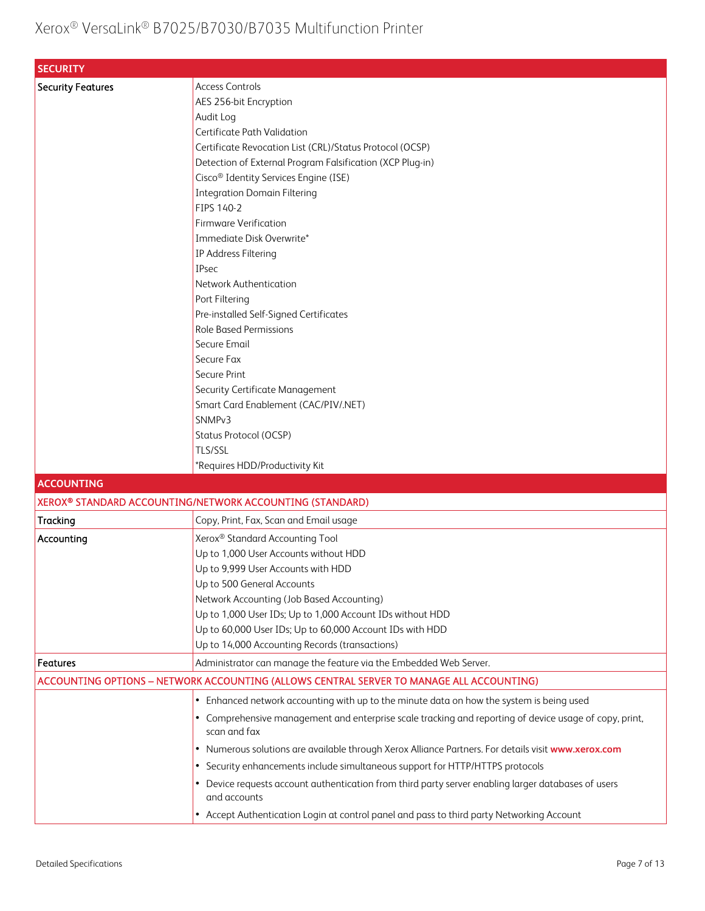| <b>SECURITY</b>          |                                                                                                                        |
|--------------------------|------------------------------------------------------------------------------------------------------------------------|
| <b>Security Features</b> | <b>Access Controls</b>                                                                                                 |
|                          | AES 256-bit Encryption                                                                                                 |
|                          | Audit Log                                                                                                              |
|                          | Certificate Path Validation                                                                                            |
|                          | Certificate Revocation List (CRL)/Status Protocol (OCSP)                                                               |
|                          | Detection of External Program Falsification (XCP Plug-in)                                                              |
|                          | Cisco <sup>®</sup> Identity Services Engine (ISE)                                                                      |
|                          | <b>Integration Domain Filtering</b>                                                                                    |
|                          | FIPS 140-2                                                                                                             |
|                          | <b>Firmware Verification</b>                                                                                           |
|                          | Immediate Disk Overwrite*                                                                                              |
|                          | IP Address Filtering                                                                                                   |
|                          | <b>IPsec</b>                                                                                                           |
|                          | Network Authentication                                                                                                 |
|                          | Port Filtering                                                                                                         |
|                          | Pre-installed Self-Signed Certificates                                                                                 |
|                          | <b>Role Based Permissions</b>                                                                                          |
|                          | Secure Email                                                                                                           |
|                          | Secure Fax                                                                                                             |
|                          | Secure Print                                                                                                           |
|                          | Security Certificate Management                                                                                        |
|                          | Smart Card Enablement (CAC/PIV/.NET)                                                                                   |
|                          | SNMP <sub>v3</sub>                                                                                                     |
|                          | Status Protocol (OCSP)                                                                                                 |
|                          | TLS/SSL                                                                                                                |
|                          | *Requires HDD/Productivity Kit                                                                                         |
| <b>ACCOUNTING</b>        |                                                                                                                        |
|                          | XEROX® STANDARD ACCOUNTING/NETWORK ACCOUNTING (STANDARD)                                                               |
| Tracking                 | Copy, Print, Fax, Scan and Email usage                                                                                 |
| Accounting               | Xerox® Standard Accounting Tool                                                                                        |
|                          | Up to 1,000 User Accounts without HDD                                                                                  |
|                          | Up to 9,999 User Accounts with HDD                                                                                     |
|                          | Up to 500 General Accounts                                                                                             |
|                          | Network Accounting (Job Based Accounting)                                                                              |
|                          | Up to 1,000 User IDs; Up to 1,000 Account IDs without HDD                                                              |
|                          | Up to 60,000 User IDs; Up to 60,000 Account IDs with HDD                                                               |
|                          | Up to 14,000 Accounting Records (transactions)                                                                         |
| <b>Features</b>          | Administrator can manage the feature via the Embedded Web Server.                                                      |
|                          | ACCOUNTING OPTIONS - NETWORK ACCOUNTING (ALLOWS CENTRAL SERVER TO MANAGE ALL ACCOUNTING)                               |
|                          |                                                                                                                        |
|                          | Enhanced network accounting with up to the minute data on how the system is being used                                 |
|                          | • Comprehensive management and enterprise scale tracking and reporting of device usage of copy, print,<br>scan and fax |
|                          | . Numerous solutions are available through Xerox Alliance Partners. For details visit www.xerox.com                    |
|                          | • Security enhancements include simultaneous support for HTTP/HTTPS protocols                                          |
|                          | Device requests account authentication from third party server enabling larger databases of users                      |
|                          | and accounts                                                                                                           |
|                          | • Accept Authentication Login at control panel and pass to third party Networking Account                              |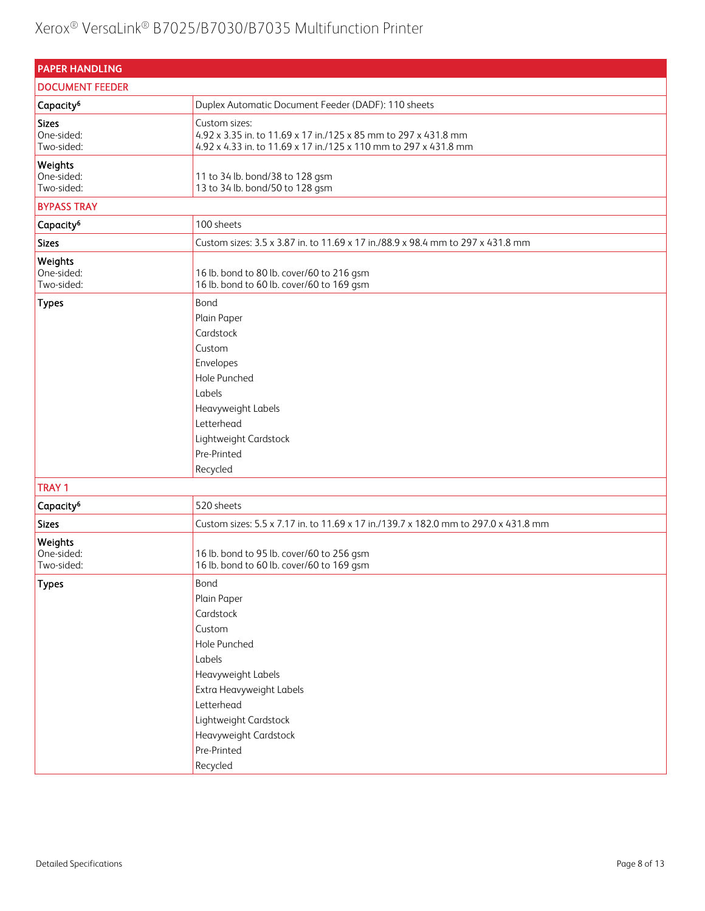| <b>PAPER HANDLING</b>                    |                                                                                                                                                                                                                   |
|------------------------------------------|-------------------------------------------------------------------------------------------------------------------------------------------------------------------------------------------------------------------|
| <b>DOCUMENT FEEDER</b>                   |                                                                                                                                                                                                                   |
| Capacity <sup>6</sup>                    | Duplex Automatic Document Feeder (DADF): 110 sheets                                                                                                                                                               |
| <b>Sizes</b><br>One-sided:<br>Two-sided: | Custom sizes:<br>4.92 x 3.35 in. to 11.69 x 17 in./125 x 85 mm to 297 x 431.8 mm<br>4.92 x 4.33 in. to 11.69 x 17 in./125 x 110 mm to 297 x 431.8 mm                                                              |
| Weights<br>One-sided:<br>Two-sided:      | 11 to 34 lb. bond/38 to 128 gsm<br>13 to 34 lb. bond/50 to 128 gsm                                                                                                                                                |
| <b>BYPASS TRAY</b>                       |                                                                                                                                                                                                                   |
| Capacity <sup>6</sup>                    | 100 sheets                                                                                                                                                                                                        |
| <b>Sizes</b>                             | Custom sizes: 3.5 x 3.87 in. to 11.69 x 17 in./88.9 x 98.4 mm to 297 x 431.8 mm                                                                                                                                   |
| Weights<br>One-sided:<br>Two-sided:      | 16 lb. bond to 80 lb. cover/60 to 216 gsm<br>16 lb. bond to 60 lb. cover/60 to 169 gsm                                                                                                                            |
| <b>Types</b>                             | Bond<br>Plain Paper<br>Cardstock<br>Custom<br>Envelopes<br>Hole Punched<br>Labels<br>Heavyweight Labels<br>Letterhead<br>Lightweight Cardstock<br>Pre-Printed<br>Recycled                                         |
| <b>TRAY 1</b>                            |                                                                                                                                                                                                                   |
| Capacity <sup>6</sup>                    | 520 sheets                                                                                                                                                                                                        |
| <b>Sizes</b>                             | Custom sizes: 5.5 x 7.17 in. to 11.69 x 17 in./139.7 x 182.0 mm to 297.0 x 431.8 mm                                                                                                                               |
| Weights<br>One-sided:<br>Two-sided:      | 16 lb. bond to 95 lb. cover/60 to 256 gsm<br>16 lb. bond to 60 lb. cover/60 to 169 gsm                                                                                                                            |
| <b>Types</b>                             | Bond<br>Plain Paper<br>Cardstock<br>Custom<br>Hole Punched<br>Labels<br>Heavyweight Labels<br>Extra Heavyweight Labels<br>Letterhead<br>Lightweight Cardstock<br>Heavyweight Cardstock<br>Pre-Printed<br>Recycled |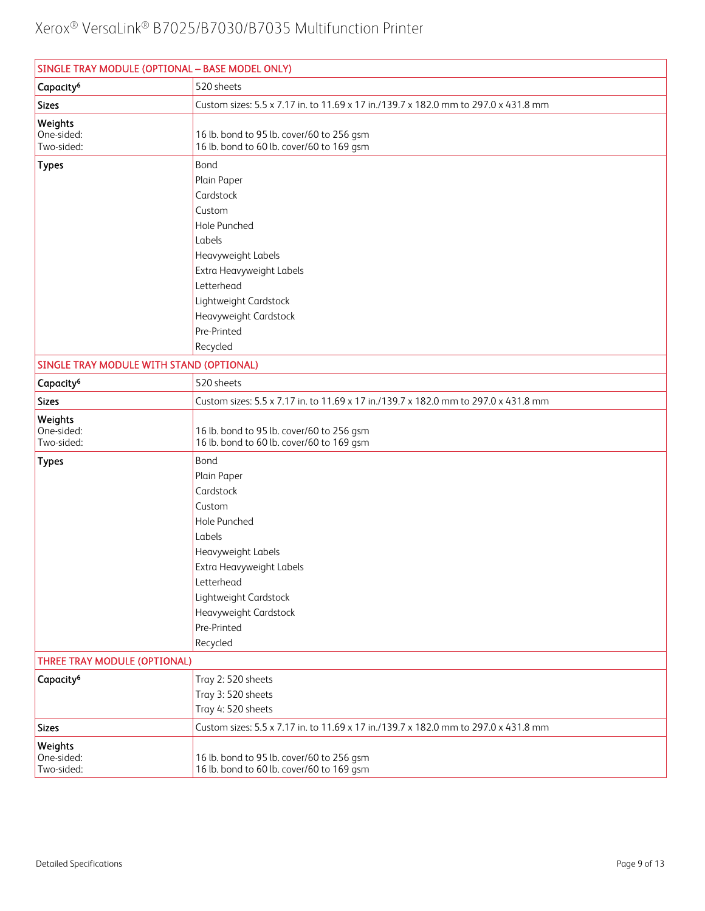| SINGLE TRAY MODULE (OPTIONAL - BASE MODEL ONLY) |                                                                                                                                                                                                                   |
|-------------------------------------------------|-------------------------------------------------------------------------------------------------------------------------------------------------------------------------------------------------------------------|
| Capacity <sup>6</sup>                           | 520 sheets                                                                                                                                                                                                        |
| <b>Sizes</b>                                    | Custom sizes: 5.5 x 7.17 in. to 11.69 x 17 in./139.7 x 182.0 mm to 297.0 x 431.8 mm                                                                                                                               |
| Weights<br>One-sided:<br>Two-sided:             | 16 lb. bond to 95 lb. cover/60 to 256 gsm<br>16 lb. bond to 60 lb. cover/60 to 169 gsm                                                                                                                            |
| <b>Types</b>                                    | Bond<br>Plain Paper<br>Cardstock<br>Custom<br>Hole Punched<br>Labels<br>Heavyweight Labels<br>Extra Heavyweight Labels<br>Letterhead<br>Lightweight Cardstock<br>Heavyweight Cardstock<br>Pre-Printed             |
|                                                 | Recycled                                                                                                                                                                                                          |
| SINGLE TRAY MODULE WITH STAND (OPTIONAL)        |                                                                                                                                                                                                                   |
| Capacity <sup>6</sup>                           | 520 sheets                                                                                                                                                                                                        |
| <b>Sizes</b>                                    | Custom sizes: 5.5 x 7.17 in. to 11.69 x 17 in./139.7 x 182.0 mm to 297.0 x 431.8 mm                                                                                                                               |
| Weights<br>One-sided:<br>Two-sided:             | 16 lb. bond to 95 lb. cover/60 to 256 gsm<br>16 lb. bond to 60 lb. cover/60 to 169 gsm                                                                                                                            |
| <b>Types</b>                                    | Bond<br>Plain Paper<br>Cardstock<br>Custom<br>Hole Punched<br>Labels<br>Heavyweight Labels<br>Extra Heavyweight Labels<br>Letterhead<br>Lightweight Cardstock<br>Heavyweight Cardstock<br>Pre-Printed<br>Recycled |
| THREE TRAY MODULE (OPTIONAL)                    |                                                                                                                                                                                                                   |
| Capacity <sup>6</sup>                           | Tray 2:520 sheets<br>Tray 3:520 sheets<br>Tray 4: 520 sheets                                                                                                                                                      |
| <b>Sizes</b>                                    | Custom sizes: 5.5 x 7.17 in. to 11.69 x 17 in./139.7 x 182.0 mm to 297.0 x 431.8 mm                                                                                                                               |
| Weights<br>One-sided:<br>Two-sided:             | 16 lb. bond to 95 lb. cover/60 to 256 gsm<br>16 lb. bond to 60 lb. cover/60 to 169 gsm                                                                                                                            |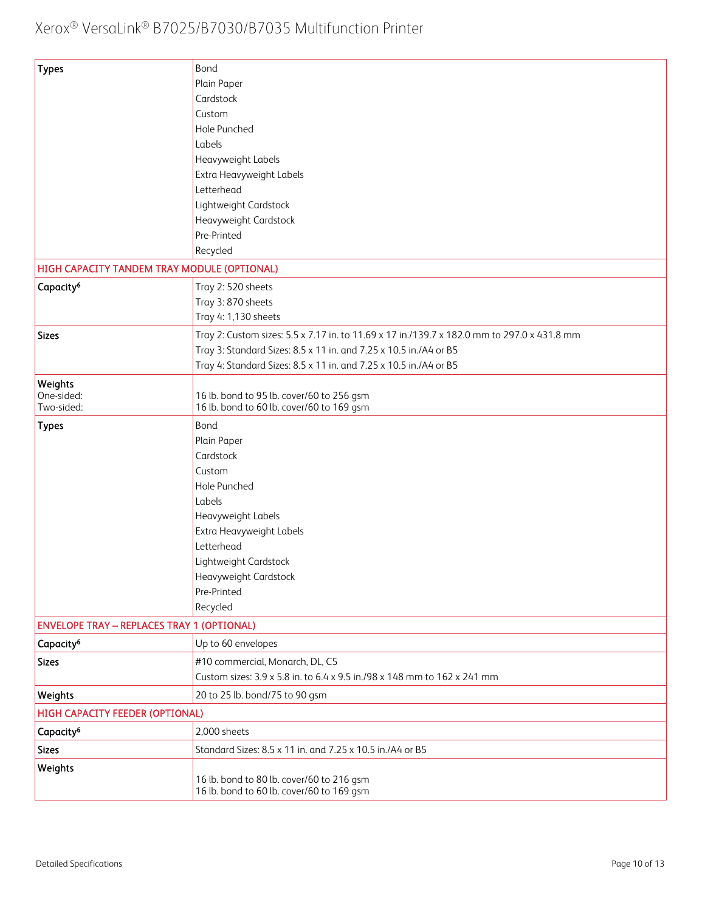| <b>Types</b>                                      | Bond                                                                                        |
|---------------------------------------------------|---------------------------------------------------------------------------------------------|
|                                                   | Plain Paper                                                                                 |
|                                                   | Cardstock                                                                                   |
|                                                   | Custom                                                                                      |
|                                                   | Hole Punched                                                                                |
|                                                   | Labels                                                                                      |
|                                                   | Heavyweight Labels                                                                          |
|                                                   | Extra Heavyweight Labels                                                                    |
|                                                   | Letterhead                                                                                  |
|                                                   | Lightweight Cardstock                                                                       |
|                                                   | Heavyweight Cardstock                                                                       |
|                                                   | Pre-Printed                                                                                 |
|                                                   | Recycled                                                                                    |
| HIGH CAPACITY TANDEM TRAY MODULE (OPTIONAL)       |                                                                                             |
| Capacity <sup>6</sup>                             | Tray 2: 520 sheets                                                                          |
|                                                   | Tray 3:870 sheets                                                                           |
|                                                   | Tray 4: 1,130 sheets                                                                        |
| <b>Sizes</b>                                      | Tray 2: Custom sizes: 5.5 x 7.17 in. to 11.69 x 17 in./139.7 x 182.0 mm to 297.0 x 431.8 mm |
|                                                   | Tray 3: Standard Sizes: 8.5 x 11 in. and 7.25 x 10.5 in./A4 or B5                           |
|                                                   | Tray 4: Standard Sizes: 8.5 x 11 in. and 7.25 x 10.5 in./A4 or B5                           |
| Weights                                           |                                                                                             |
| One-sided:                                        | 16 lb. bond to 95 lb. cover/60 to 256 gsm                                                   |
| Two-sided:                                        | 16 lb. bond to 60 lb. cover/60 to 169 gsm                                                   |
| <b>Types</b>                                      | Bond                                                                                        |
|                                                   | Plain Paper                                                                                 |
|                                                   | Cardstock                                                                                   |
|                                                   | Custom                                                                                      |
|                                                   | Hole Punched                                                                                |
|                                                   | Labels                                                                                      |
|                                                   | Heavyweight Labels                                                                          |
|                                                   | Extra Heavyweight Labels                                                                    |
|                                                   | Letterhead                                                                                  |
|                                                   | Lightweight Cardstock                                                                       |
|                                                   | Heavyweight Cardstock                                                                       |
|                                                   | Pre-Printed                                                                                 |
|                                                   | Recycled                                                                                    |
| <b>ENVELOPE TRAY - REPLACES TRAY 1 (OPTIONAL)</b> |                                                                                             |
| Capacity <sup>6</sup>                             | Up to 60 envelopes                                                                          |
| <b>Sizes</b>                                      | #10 commercial, Monarch, DL, C5                                                             |
|                                                   | Custom sizes: 3.9 x 5.8 in. to 6.4 x 9.5 in./98 x 148 mm to 162 x 241 mm                    |
| Weights                                           | 20 to 25 lb. bond/75 to 90 gsm                                                              |
| HIGH CAPACITY FEEDER (OPTIONAL)                   |                                                                                             |
| Capacity <sup>6</sup>                             | 2,000 sheets                                                                                |
| <b>Sizes</b>                                      | Standard Sizes: 8.5 x 11 in. and 7.25 x 10.5 in./A4 or B5                                   |
| Weights                                           |                                                                                             |
|                                                   | 16 lb. bond to 80 lb. cover/60 to 216 gsm<br>16 lb. bond to 60 lb. cover/60 to 169 gsm      |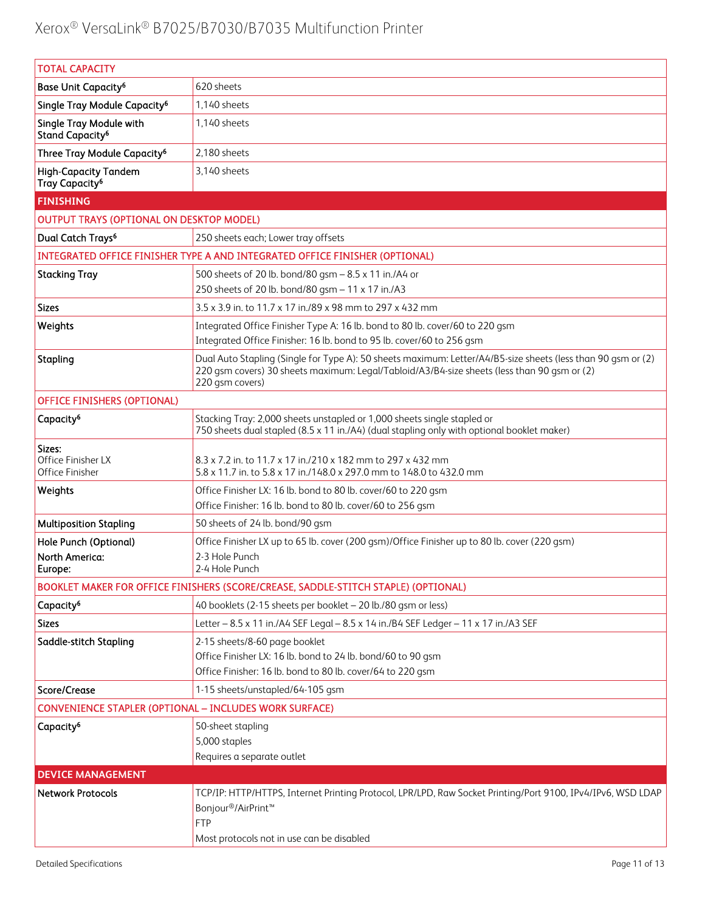| <b>TOTAL CAPACITY</b>                                     |                                                                                                                                                                                                                                |  |  |
|-----------------------------------------------------------|--------------------------------------------------------------------------------------------------------------------------------------------------------------------------------------------------------------------------------|--|--|
| <b>Base Unit Capacity<sup>6</sup></b>                     | 620 sheets                                                                                                                                                                                                                     |  |  |
| Single Tray Module Capacity <sup>6</sup>                  | 1,140 sheets                                                                                                                                                                                                                   |  |  |
| Single Tray Module with<br>Stand Capacity <sup>6</sup>    | 1,140 sheets                                                                                                                                                                                                                   |  |  |
| Three Tray Module Capacity <sup>6</sup>                   | 2.180 sheets                                                                                                                                                                                                                   |  |  |
| <b>High-Capacity Tandem</b><br>Tray Capacity <sup>6</sup> | 3,140 sheets                                                                                                                                                                                                                   |  |  |
| <b>FINISHING</b>                                          |                                                                                                                                                                                                                                |  |  |
| <b>OUTPUT TRAYS (OPTIONAL ON DESKTOP MODEL)</b>           |                                                                                                                                                                                                                                |  |  |
| Dual Catch Trays <sup>6</sup>                             | 250 sheets each; Lower tray offsets                                                                                                                                                                                            |  |  |
|                                                           | INTEGRATED OFFICE FINISHER TYPE A AND INTEGRATED OFFICE FINISHER (OPTIONAL)                                                                                                                                                    |  |  |
| <b>Stacking Tray</b>                                      | 500 sheets of 20 lb. bond/80 gsm - 8.5 x 11 in./A4 or<br>250 sheets of 20 lb. bond/80 gsm - 11 x 17 in./A3                                                                                                                     |  |  |
| <b>Sizes</b>                                              | 3.5 x 3.9 in. to 11.7 x 17 in./89 x 98 mm to 297 x 432 mm                                                                                                                                                                      |  |  |
| Weights                                                   | Integrated Office Finisher Type A: 16 lb. bond to 80 lb. cover/60 to 220 gsm<br>Integrated Office Finisher: 16 lb. bond to 95 lb. cover/60 to 256 gsm                                                                          |  |  |
| Stapling                                                  | Dual Auto Stapling (Single for Type A): 50 sheets maximum: Letter/A4/B5-size sheets (less than 90 gsm or (2)<br>220 gsm covers) 30 sheets maximum: Legal/Tabloid/A3/B4-size sheets (less than 90 gsm or (2)<br>220 gsm covers) |  |  |
| <b>OFFICE FINISHERS (OPTIONAL)</b>                        |                                                                                                                                                                                                                                |  |  |
| Capacity <sup>6</sup>                                     | Stacking Tray: 2,000 sheets unstapled or 1,000 sheets single stapled or<br>750 sheets dual stapled (8.5 x 11 in./A4) (dual stapling only with optional booklet maker)                                                          |  |  |
| Sizes:<br>Office Finisher LX<br>Office Finisher           | 8.3 x 7.2 in. to 11.7 x 17 in./210 x 182 mm to 297 x 432 mm<br>5.8 x 11.7 in. to 5.8 x 17 in./148.0 x 297.0 mm to 148.0 to 432.0 mm                                                                                            |  |  |
| Weights                                                   | Office Finisher LX: 16 lb. bond to 80 lb. cover/60 to 220 gsm<br>Office Finisher: 16 lb. bond to 80 lb. cover/60 to 256 gsm                                                                                                    |  |  |
| <b>Multiposition Stapling</b>                             | 50 sheets of 24 lb. bond/90 gsm                                                                                                                                                                                                |  |  |
| Hole Punch (Optional)<br>North America:<br>Europe:        | Office Finisher LX up to 65 lb. cover (200 gsm)/Office Finisher up to 80 lb. cover (220 gsm)<br>2-3 Hole Punch<br>2-4 Hole Punch                                                                                               |  |  |
|                                                           | BOOKLET MAKER FOR OFFICE FINISHERS (SCORE/CREASE, SADDLE-STITCH STAPLE) (OPTIONAL)                                                                                                                                             |  |  |
| Capacity <sup>6</sup>                                     | 40 booklets (2-15 sheets per booklet - 20 lb./80 gsm or less)                                                                                                                                                                  |  |  |
| <b>Sizes</b>                                              | Letter - 8.5 x 11 in./A4 SEF Legal - 8.5 x 14 in./B4 SEF Ledger - 11 x 17 in./A3 SEF                                                                                                                                           |  |  |
| Saddle-stitch Stapling                                    | 2-15 sheets/8-60 page booklet<br>Office Finisher LX: 16 lb. bond to 24 lb. bond/60 to 90 gsm<br>Office Finisher: 16 lb. bond to 80 lb. cover/64 to 220 gsm                                                                     |  |  |
| Score/Crease                                              | 1-15 sheets/unstapled/64-105 gsm                                                                                                                                                                                               |  |  |
|                                                           | CONVENIENCE STAPLER (OPTIONAL - INCLUDES WORK SURFACE)                                                                                                                                                                         |  |  |
| Capacity <sup>6</sup>                                     | 50-sheet stapling<br>5,000 staples<br>Requires a separate outlet                                                                                                                                                               |  |  |
| <b>DEVICE MANAGEMENT</b>                                  |                                                                                                                                                                                                                                |  |  |
| <b>Network Protocols</b>                                  | TCP/IP: HTTP/HTTPS, Internet Printing Protocol, LPR/LPD, Raw Socket Printing/Port 9100, IPv4/IPv6, WSD LDAP<br>Bonjour <sup>®</sup> /AirPrint <sup>™</sup><br><b>FTP</b><br>Most protocols not in use can be disabled          |  |  |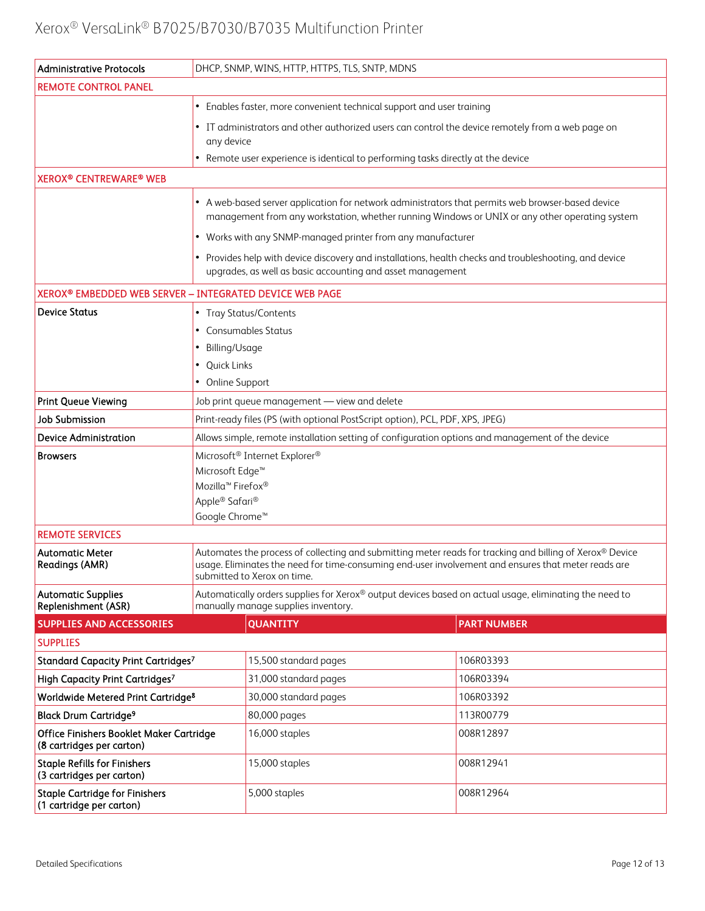| <b>Administrative Protocols</b>                                       | DHCP, SNMP, WINS, HTTP, HTTPS, TLS, SNTP, MDNS                                                                                                                                                                                                 |                                                                                                                                                                      |                    |  |
|-----------------------------------------------------------------------|------------------------------------------------------------------------------------------------------------------------------------------------------------------------------------------------------------------------------------------------|----------------------------------------------------------------------------------------------------------------------------------------------------------------------|--------------------|--|
| <b>REMOTE CONTROL PANEL</b>                                           |                                                                                                                                                                                                                                                |                                                                                                                                                                      |                    |  |
|                                                                       | • Enables faster, more convenient technical support and user training                                                                                                                                                                          |                                                                                                                                                                      |                    |  |
|                                                                       | any device                                                                                                                                                                                                                                     | • IT administrators and other authorized users can control the device remotely from a web page on                                                                    |                    |  |
|                                                                       |                                                                                                                                                                                                                                                | Remote user experience is identical to performing tasks directly at the device                                                                                       |                    |  |
| <b>XEROX® CENTREWARE® WEB</b>                                         |                                                                                                                                                                                                                                                |                                                                                                                                                                      |                    |  |
|                                                                       | • A web-based server application for network administrators that permits web browser-based device<br>management from any workstation, whether running Windows or UNIX or any other operating system                                            |                                                                                                                                                                      |                    |  |
|                                                                       |                                                                                                                                                                                                                                                | • Works with any SNMP-managed printer from any manufacturer                                                                                                          |                    |  |
|                                                                       |                                                                                                                                                                                                                                                | • Provides help with device discovery and installations, health checks and troubleshooting, and device<br>upgrades, as well as basic accounting and asset management |                    |  |
| XEROX® EMBEDDED WEB SERVER - INTEGRATED DEVICE WEB PAGE               |                                                                                                                                                                                                                                                |                                                                                                                                                                      |                    |  |
| <b>Device Status</b>                                                  | • Tray Status/Contents<br>Consumables Status                                                                                                                                                                                                   |                                                                                                                                                                      |                    |  |
|                                                                       | Billing/Usage<br>٠                                                                                                                                                                                                                             |                                                                                                                                                                      |                    |  |
|                                                                       | Quick Links<br>• Online Support                                                                                                                                                                                                                |                                                                                                                                                                      |                    |  |
| Print Queue Viewing                                                   |                                                                                                                                                                                                                                                | Job print queue management - view and delete                                                                                                                         |                    |  |
| <b>Job Submission</b>                                                 |                                                                                                                                                                                                                                                |                                                                                                                                                                      |                    |  |
| <b>Device Administration</b>                                          | Print-ready files (PS (with optional PostScript option), PCL, PDF, XPS, JPEG)<br>Allows simple, remote installation setting of configuration options and management of the device                                                              |                                                                                                                                                                      |                    |  |
| <b>Browsers</b>                                                       |                                                                                                                                                                                                                                                | Microsoft <sup>®</sup> Internet Explorer®                                                                                                                            |                    |  |
|                                                                       | Microsoft Edge <sup>™</sup>                                                                                                                                                                                                                    |                                                                                                                                                                      |                    |  |
|                                                                       |                                                                                                                                                                                                                                                | Mozilla <sup>™</sup> Firefox®                                                                                                                                        |                    |  |
|                                                                       | Apple® Safari®                                                                                                                                                                                                                                 |                                                                                                                                                                      |                    |  |
|                                                                       | Google Chrome <sup>™</sup>                                                                                                                                                                                                                     |                                                                                                                                                                      |                    |  |
| <b>REMOTE SERVICES</b>                                                |                                                                                                                                                                                                                                                |                                                                                                                                                                      |                    |  |
| <b>Automatic Meter</b><br><b>Readings (AMR)</b>                       | Automates the process of collecting and submitting meter reads for tracking and billing of Xerox® Device<br>usage. Eliminates the need for time-consuming end-user involvement and ensures that meter reads are<br>submitted to Xerox on time. |                                                                                                                                                                      |                    |  |
| <b>Automatic Supplies</b><br>Replenishment (ASR)                      | Automatically orders supplies for Xerox® output devices based on actual usage, eliminating the need to<br>manually manage supplies inventory.                                                                                                  |                                                                                                                                                                      |                    |  |
| <b>SUPPLIES AND ACCESSORIES</b>                                       |                                                                                                                                                                                                                                                | <b>QUANTITY</b>                                                                                                                                                      | <b>PART NUMBER</b> |  |
| <b>SUPPLIES</b>                                                       |                                                                                                                                                                                                                                                |                                                                                                                                                                      |                    |  |
| Standard Capacity Print Cartridges7                                   |                                                                                                                                                                                                                                                | 15,500 standard pages                                                                                                                                                | 106R03393          |  |
| High Capacity Print Cartridges7                                       |                                                                                                                                                                                                                                                | 31,000 standard pages                                                                                                                                                | 106R03394          |  |
| Worldwide Metered Print Cartridge <sup>8</sup>                        |                                                                                                                                                                                                                                                | 30,000 standard pages                                                                                                                                                | 106R03392          |  |
| <b>Black Drum Cartridge<sup>9</sup></b>                               |                                                                                                                                                                                                                                                | 80,000 pages                                                                                                                                                         | 113R00779          |  |
| Office Finishers Booklet Maker Cartridge<br>(8 cartridges per carton) |                                                                                                                                                                                                                                                | 16,000 staples                                                                                                                                                       | 008R12897          |  |
| <b>Staple Refills for Finishers</b><br>(3 cartridges per carton)      |                                                                                                                                                                                                                                                | 15,000 staples                                                                                                                                                       | 008R12941          |  |
| <b>Staple Cartridge for Finishers</b><br>(1 cartridge per carton)     |                                                                                                                                                                                                                                                | 5,000 staples                                                                                                                                                        | 008R12964          |  |